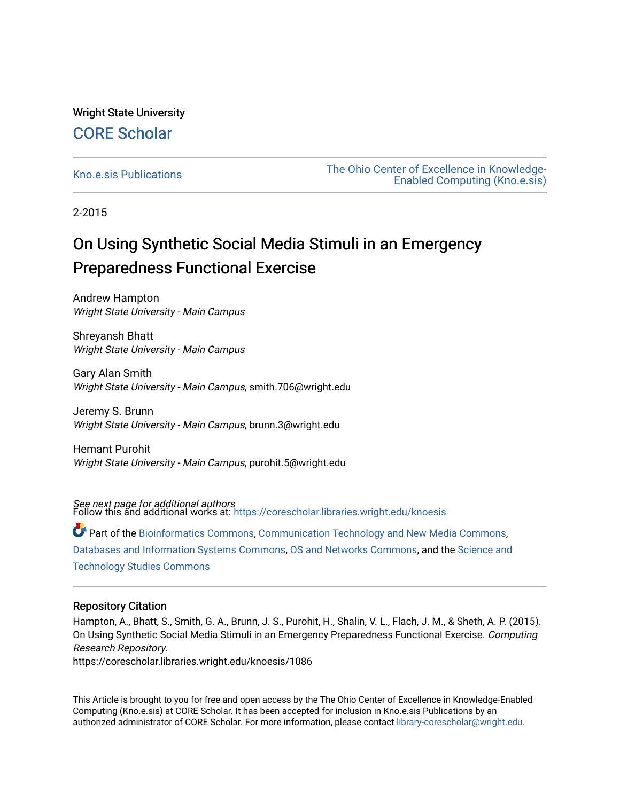Wright State University [CORE Scholar](https://corescholar.libraries.wright.edu/)

[Kno.e.sis Publications](https://corescholar.libraries.wright.edu/knoesis) [The Ohio Center of Excellence in Knowledge-](https://corescholar.libraries.wright.edu/knoesis_comm)[Enabled Computing \(Kno.e.sis\)](https://corescholar.libraries.wright.edu/knoesis_comm) 

2-2015

# On Using Synthetic Social Media Stimuli in an Emergency Preparedness Functional Exercise

Andrew Hampton Wright State University - Main Campus

Shreyansh Bhatt Wright State University - Main Campus

Gary Alan Smith Wright State University - Main Campus, smith.706@wright.edu

Jeremy S. Brunn Wright State University - Main Campus, brunn.3@wright.edu

Hemant Purohit Wright State University - Main Campus, purohit.5@wright.edu

*See next page for additional authors*<br>Follow this and additional works at: https://corescholar.libraries.wright.edu/knoesis Part of the [Bioinformatics Commons,](http://network.bepress.com/hgg/discipline/110?utm_source=corescholar.libraries.wright.edu%2Fknoesis%2F1086&utm_medium=PDF&utm_campaign=PDFCoverPages) [Communication Technology and New Media Commons,](http://network.bepress.com/hgg/discipline/327?utm_source=corescholar.libraries.wright.edu%2Fknoesis%2F1086&utm_medium=PDF&utm_campaign=PDFCoverPages) [Databases and Information Systems Commons](http://network.bepress.com/hgg/discipline/145?utm_source=corescholar.libraries.wright.edu%2Fknoesis%2F1086&utm_medium=PDF&utm_campaign=PDFCoverPages), [OS and Networks Commons](http://network.bepress.com/hgg/discipline/149?utm_source=corescholar.libraries.wright.edu%2Fknoesis%2F1086&utm_medium=PDF&utm_campaign=PDFCoverPages), and the [Science and](http://network.bepress.com/hgg/discipline/435?utm_source=corescholar.libraries.wright.edu%2Fknoesis%2F1086&utm_medium=PDF&utm_campaign=PDFCoverPages)

[Technology Studies Commons](http://network.bepress.com/hgg/discipline/435?utm_source=corescholar.libraries.wright.edu%2Fknoesis%2F1086&utm_medium=PDF&utm_campaign=PDFCoverPages) 

# Repository Citation

Hampton, A., Bhatt, S., Smith, G. A., Brunn, J. S., Purohit, H., Shalin, V. L., Flach, J. M., & Sheth, A. P. (2015). On Using Synthetic Social Media Stimuli in an Emergency Preparedness Functional Exercise. Computing Research Repository.

https://corescholar.libraries.wright.edu/knoesis/1086

This Article is brought to you for free and open access by the The Ohio Center of Excellence in Knowledge-Enabled Computing (Kno.e.sis) at CORE Scholar. It has been accepted for inclusion in Kno.e.sis Publications by an authorized administrator of CORE Scholar. For more information, please contact [library-corescholar@wright.edu](mailto:library-corescholar@wright.edu).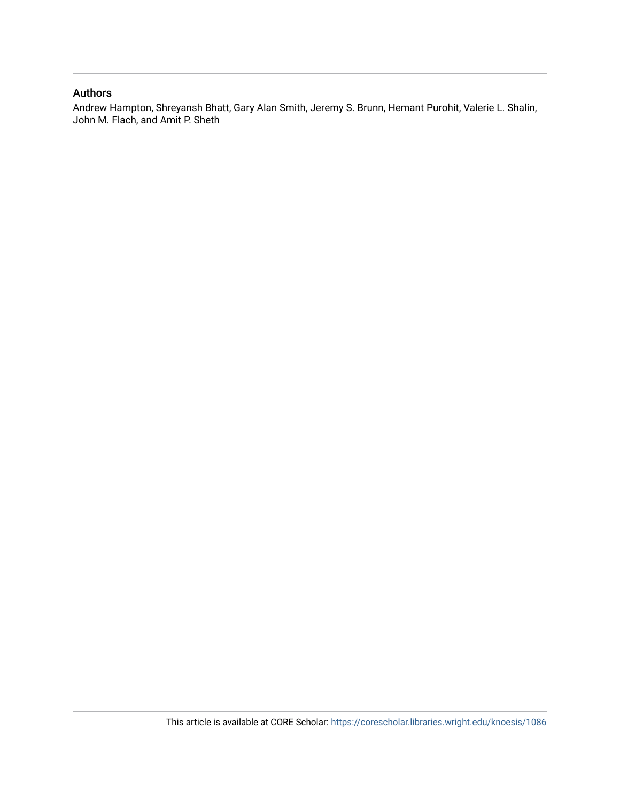# Authors

Andrew Hampton, Shreyansh Bhatt, Gary Alan Smith, Jeremy S. Brunn, Hemant Purohit, Valerie L. Shalin, John M. Flach, and Amit P. Sheth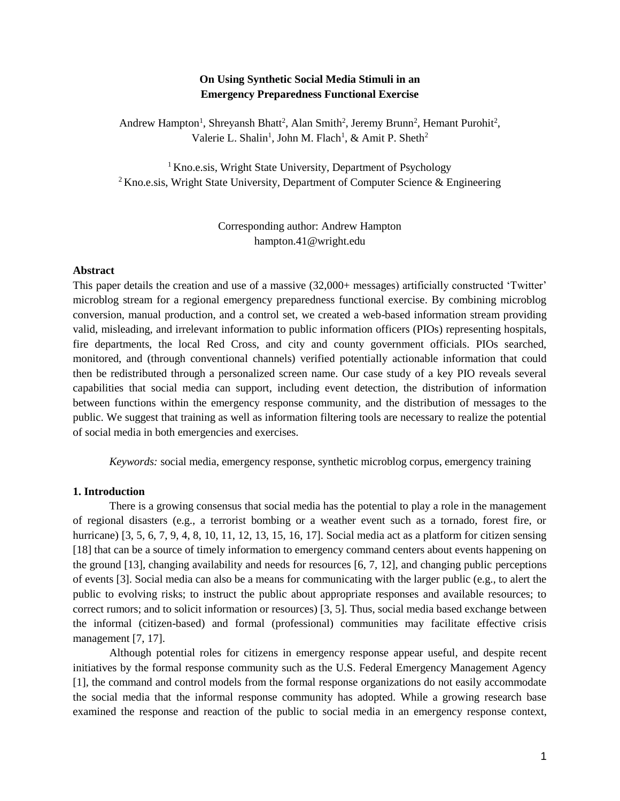# **On Using Synthetic Social Media Stimuli in an Emergency Preparedness Functional Exercise**

Andrew Hampton<sup>1</sup>, Shreyansh Bhatt<sup>2</sup>, Alan Smith<sup>2</sup>, Jeremy Brunn<sup>2</sup>, Hemant Purohit<sup>2</sup>, Valerie L. Shalin<sup>1</sup>, John M. Flach<sup>1</sup>, & Amit P. Sheth<sup>2</sup>

<sup>1</sup> Kno.e.sis, Wright State University, Department of Psychology <sup>2</sup> Kno.e.sis, Wright State University, Department of Computer Science & Engineering

> Corresponding author: Andrew Hampton hampton.41@wright.edu

#### **Abstract**

This paper details the creation and use of a massive (32,000+ messages) artificially constructed 'Twitter' microblog stream for a regional emergency preparedness functional exercise. By combining microblog conversion, manual production, and a control set, we created a web-based information stream providing valid, misleading, and irrelevant information to public information officers (PIOs) representing hospitals, fire departments, the local Red Cross, and city and county government officials. PIOs searched, monitored, and (through conventional channels) verified potentially actionable information that could then be redistributed through a personalized screen name. Our case study of a key PIO reveals several capabilities that social media can support, including event detection, the distribution of information between functions within the emergency response community, and the distribution of messages to the public. We suggest that training as well as information filtering tools are necessary to realize the potential of social media in both emergencies and exercises.

*Keywords:* social media, emergency response, synthetic microblog corpus, emergency training

# **1. Introduction**

There is a growing consensus that social media has the potential to play a role in the management of regional disasters (e.g., a terrorist bombing or a weather event such as a tornado, forest fire, or hurricane) [3, 5, 6, 7, 9, 4, 8, 10, 11, 12, 13, 15, 16, 17]. Social media act as a platform for citizen sensing [18] that can be a source of timely information to emergency command centers about events happening on the ground [13], changing availability and needs for resources [6, 7, 12], and changing public perceptions of events [3]. Social media can also be a means for communicating with the larger public (e.g., to alert the public to evolving risks; to instruct the public about appropriate responses and available resources; to correct rumors; and to solicit information or resources) [3, 5]. Thus, social media based exchange between the informal (citizen-based) and formal (professional) communities may facilitate effective crisis management [7, 17].

Although potential roles for citizens in emergency response appear useful, and despite recent initiatives by the formal response community such as the U.S. Federal Emergency Management Agency [1], the command and control models from the formal response organizations do not easily accommodate the social media that the informal response community has adopted. While a growing research base examined the response and reaction of the public to social media in an emergency response context,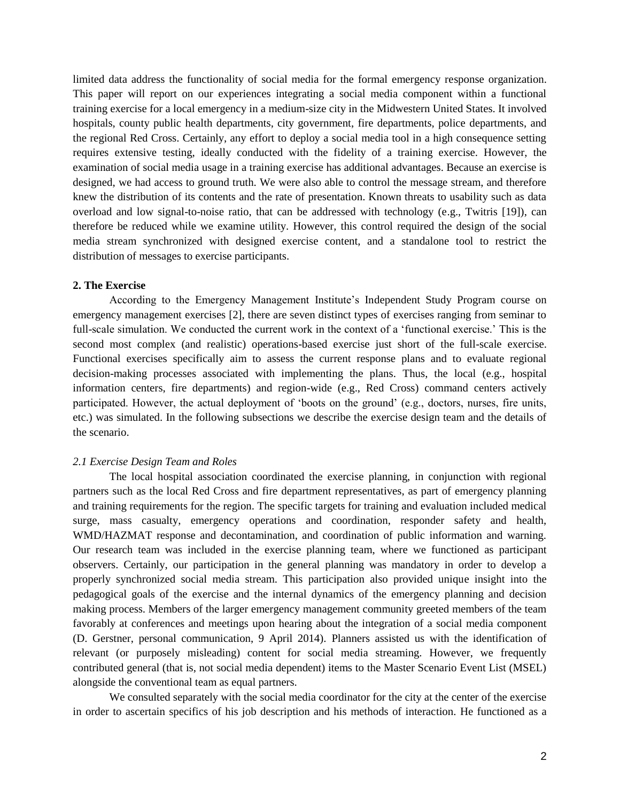limited data address the functionality of social media for the formal emergency response organization. This paper will report on our experiences integrating a social media component within a functional training exercise for a local emergency in a medium-size city in the Midwestern United States. It involved hospitals, county public health departments, city government, fire departments, police departments, and the regional Red Cross. Certainly, any effort to deploy a social media tool in a high consequence setting requires extensive testing, ideally conducted with the fidelity of a training exercise. However, the examination of social media usage in a training exercise has additional advantages. Because an exercise is designed, we had access to ground truth. We were also able to control the message stream, and therefore knew the distribution of its contents and the rate of presentation. Known threats to usability such as data overload and low signal-to-noise ratio, that can be addressed with technology (e.g., Twitris [19]), can therefore be reduced while we examine utility. However, this control required the design of the social media stream synchronized with designed exercise content, and a standalone tool to restrict the distribution of messages to exercise participants.

#### **2. The Exercise**

According to the Emergency Management Institute's Independent Study Program course on emergency management exercises [2], there are seven distinct types of exercises ranging from seminar to full-scale simulation. We conducted the current work in the context of a 'functional exercise.' This is the second most complex (and realistic) operations-based exercise just short of the full-scale exercise. Functional exercises specifically aim to assess the current response plans and to evaluate regional decision-making processes associated with implementing the plans. Thus, the local (e.g., hospital information centers, fire departments) and region-wide (e.g., Red Cross) command centers actively participated. However, the actual deployment of 'boots on the ground' (e.g., doctors, nurses, fire units, etc.) was simulated. In the following subsections we describe the exercise design team and the details of the scenario.

#### *2.1 Exercise Design Team and Roles*

The local hospital association coordinated the exercise planning, in conjunction with regional partners such as the local Red Cross and fire department representatives, as part of emergency planning and training requirements for the region. The specific targets for training and evaluation included medical surge, mass casualty, emergency operations and coordination, responder safety and health, WMD/HAZMAT response and decontamination, and coordination of public information and warning. Our research team was included in the exercise planning team, where we functioned as participant observers. Certainly, our participation in the general planning was mandatory in order to develop a properly synchronized social media stream. This participation also provided unique insight into the pedagogical goals of the exercise and the internal dynamics of the emergency planning and decision making process. Members of the larger emergency management community greeted members of the team favorably at conferences and meetings upon hearing about the integration of a social media component (D. Gerstner, personal communication, 9 April 2014)*.* Planners assisted us with the identification of relevant (or purposely misleading) content for social media streaming. However, we frequently contributed general (that is, not social media dependent) items to the Master Scenario Event List (MSEL) alongside the conventional team as equal partners.

We consulted separately with the social media coordinator for the city at the center of the exercise in order to ascertain specifics of his job description and his methods of interaction. He functioned as a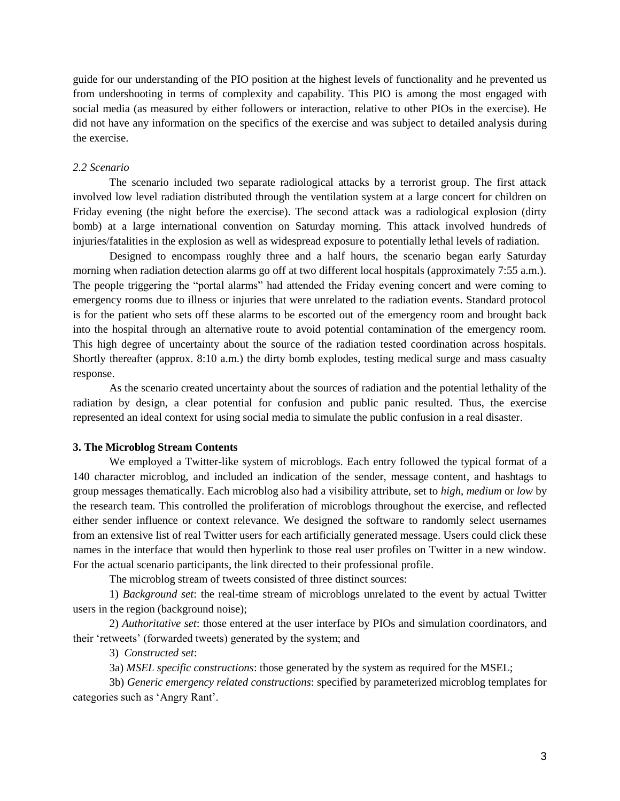guide for our understanding of the PIO position at the highest levels of functionality and he prevented us from undershooting in terms of complexity and capability. This PIO is among the most engaged with social media (as measured by either followers or interaction, relative to other PIOs in the exercise). He did not have any information on the specifics of the exercise and was subject to detailed analysis during the exercise.

# *2.2 Scenario*

The scenario included two separate radiological attacks by a terrorist group. The first attack involved low level radiation distributed through the ventilation system at a large concert for children on Friday evening (the night before the exercise). The second attack was a radiological explosion (dirty bomb) at a large international convention on Saturday morning. This attack involved hundreds of injuries/fatalities in the explosion as well as widespread exposure to potentially lethal levels of radiation.

Designed to encompass roughly three and a half hours, the scenario began early Saturday morning when radiation detection alarms go off at two different local hospitals (approximately 7:55 a.m.). The people triggering the "portal alarms" had attended the Friday evening concert and were coming to emergency rooms due to illness or injuries that were unrelated to the radiation events. Standard protocol is for the patient who sets off these alarms to be escorted out of the emergency room and brought back into the hospital through an alternative route to avoid potential contamination of the emergency room. This high degree of uncertainty about the source of the radiation tested coordination across hospitals. Shortly thereafter (approx. 8:10 a.m.) the dirty bomb explodes, testing medical surge and mass casualty response.

As the scenario created uncertainty about the sources of radiation and the potential lethality of the radiation by design, a clear potential for confusion and public panic resulted. Thus, the exercise represented an ideal context for using social media to simulate the public confusion in a real disaster.

## **3. The Microblog Stream Contents**

We employed a Twitter-like system of microblogs. Each entry followed the typical format of a 140 character microblog, and included an indication of the sender, message content, and hashtags to group messages thematically. Each microblog also had a visibility attribute, set to *high*, *medium* or *low* by the research team. This controlled the proliferation of microblogs throughout the exercise, and reflected either sender influence or context relevance. We designed the software to randomly select usernames from an extensive list of real Twitter users for each artificially generated message. Users could click these names in the interface that would then hyperlink to those real user profiles on Twitter in a new window. For the actual scenario participants, the link directed to their professional profile.

The microblog stream of tweets consisted of three distinct sources:

1) *Background set*: the real-time stream of microblogs unrelated to the event by actual Twitter users in the region (background noise);

2) *Authoritative set*: those entered at the user interface by PIOs and simulation coordinators, and their 'retweets' (forwarded tweets) generated by the system; and

3) *Constructed set*:

3a) *MSEL specific constructions*: those generated by the system as required for the MSEL;

3b) *Generic emergency related constructions*: specified by parameterized microblog templates for categories such as 'Angry Rant'.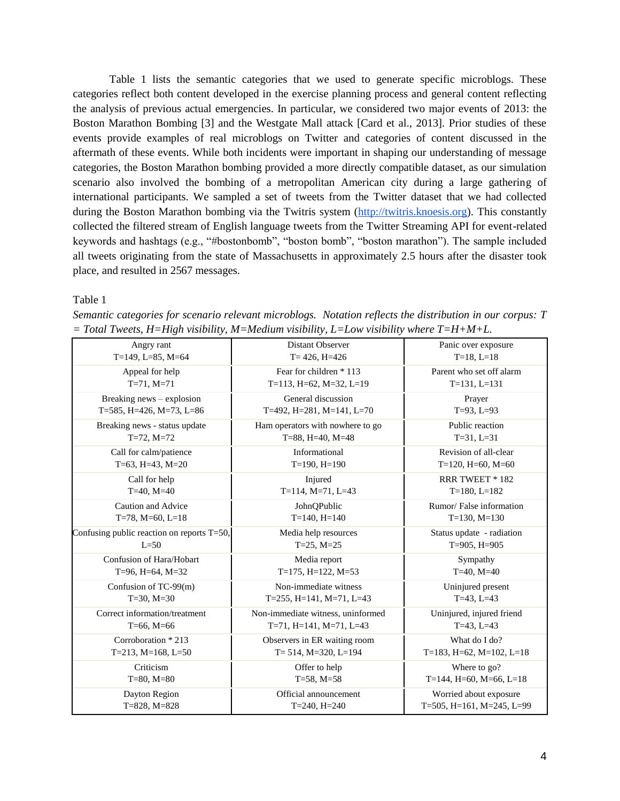Table 1 lists the semantic categories that we used to generate specific microblogs. These categories reflect both content developed in the exercise planning process and general content reflecting the analysis of previous actual emergencies. In particular, we considered two major events of 2013: the Boston Marathon Bombing [3] and the Westgate Mall attack [Card et al., 2013]. Prior studies of these events provide examples of real microblogs on Twitter and categories of content discussed in the aftermath of these events. While both incidents were important in shaping our understanding of message categories, the Boston Marathon bombing provided a more directly compatible dataset, as our simulation scenario also involved the bombing of a metropolitan American city during a large gathering of international participants. We sampled a set of tweets from the Twitter dataset that we had collected during the Boston Marathon bombing via the Twitris system [\(http://twitris.knoesis.org\)](http://twitris.knoesis.org/). This constantly collected the filtered stream of English language tweets from the Twitter Streaming API for event-related keywords and hashtags (e.g., "#bostonbomb", "boston bomb", "boston marathon"). The sample included all tweets originating from the state of Massachusetts in approximately 2.5 hours after the disaster took place, and resulted in 2567 messages.

## Table 1

*Semantic categories for scenario relevant microblogs. Notation reflects the distribution in our corpus: T = Total Tweets, H=High visibility, M=Medium visibility, L=Low visibility where T=H+M+L.*

| Angry rant                                    | Distant Observer                   | Panic over exposure       |
|-----------------------------------------------|------------------------------------|---------------------------|
| $T=149$ , L=85, M=64                          | $T = 426$ , $H = 426$              | $T=18, L=18$              |
| Appeal for help                               | Fear for children * 113            | Parent who set off alarm  |
| $T=71, M=71$                                  | T=113, H=62, M=32, L=19            | $T=131, L=131$            |
| Breaking news – explosion                     | General discussion                 | Prayer                    |
| T=585, H=426, M=73, L=86                      | T=492, H=281, M=141, L=70          | $T=93, L=93$              |
| Breaking news - status update                 | Ham operators with nowhere to go   | Public reaction           |
| $T=72, M=72$                                  | T=88, H=40, M=48                   | $T = 31, L = 31$          |
| Call for calm/patience                        | Informational                      | Revision of all-clear     |
| $T=63$ , $H=43$ , $M=20$                      | $T=190, H=190$                     | T=120, H=60, M=60         |
| Call for help                                 | Injured                            | RRR TWEET * 182           |
| $T=40, M=40$                                  | T=114, M=71, L=43                  | $T=180, L=182$            |
| Caution and Advice                            | JohnQPublic                        | Rumor/False information   |
| T=78, $M=60$ , L=18                           | $T=140, H=140$                     | $T=130, M=130$            |
| Confusing public reaction on reports $T=50$ , | Media help resources               | Status update - radiation |
| $L=50$                                        | $T=25$ , $M=25$                    | T=905, $H=905$            |
| Confusion of Hara/Hobart                      | Media report                       | Sympathy                  |
| T=96, H=64, M=32                              | $T=175$ , $H=122$ , $M=53$         | T=40, $M=40$              |
| Confusion of TC-99(m)                         | Non-immediate witness              | Uninjured present         |
| $T=30, M=30$                                  | T=255, H=141, M=71, L=43           | $T=43, L=43$              |
| Correct information/treatment                 | Non-immediate witness, uninformed  | Uninjured, injured friend |
| $T=66$ , $M=66$                               | $T=71$ , $H=141$ , $M=71$ , $L=43$ | $T=43, L=43$              |
| Corroboration * 213                           | Observers in ER waiting room       | What do I do?             |
| $T=213$ , $M=168$ , L=50                      | $T = 514$ , M=320, L=194           | T=183, H=62, M=102, L=18  |
| Criticism                                     | Offer to help                      | Where to go?              |
| $T=80, M=80$                                  | $T=58, M=58$                       | T=144, H=60, M=66, L=18   |
| Dayton Region                                 | Official announcement              | Worried about exposure    |
| $T=828, M=828$                                | $T=240, H=240$                     | T=505, H=161, M=245, L=99 |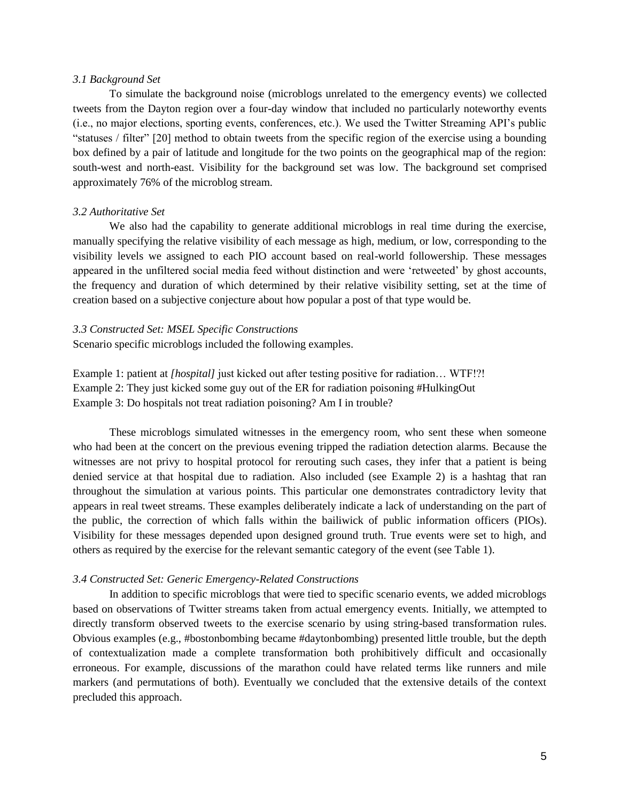#### *3.1 Background Set*

To simulate the background noise (microblogs unrelated to the emergency events) we collected tweets from the Dayton region over a four-day window that included no particularly noteworthy events (i.e., no major elections, sporting events, conferences, etc.). We used the Twitter Streaming API's public "statuses / filter" [20] method to obtain tweets from the specific region of the exercise using a bounding box defined by a pair of latitude and longitude for the two points on the geographical map of the region: south-west and north-east. Visibility for the background set was low. The background set comprised approximately 76% of the microblog stream.

## *3.2 Authoritative Set*

We also had the capability to generate additional microblogs in real time during the exercise, manually specifying the relative visibility of each message as high, medium, or low, corresponding to the visibility levels we assigned to each PIO account based on real-world followership. These messages appeared in the unfiltered social media feed without distinction and were 'retweeted' by ghost accounts, the frequency and duration of which determined by their relative visibility setting, set at the time of creation based on a subjective conjecture about how popular a post of that type would be.

# *3.3 Constructed Set: MSEL Specific Constructions*

Scenario specific microblogs included the following examples.

Example 1: patient at *[hospital]* just kicked out after testing positive for radiation... WTF!?! Example 2: They just kicked some guy out of the ER for radiation poisoning #HulkingOut Example 3: Do hospitals not treat radiation poisoning? Am I in trouble?

These microblogs simulated witnesses in the emergency room, who sent these when someone who had been at the concert on the previous evening tripped the radiation detection alarms. Because the witnesses are not privy to hospital protocol for rerouting such cases, they infer that a patient is being denied service at that hospital due to radiation. Also included (see Example 2) is a hashtag that ran throughout the simulation at various points. This particular one demonstrates contradictory levity that appears in real tweet streams. These examples deliberately indicate a lack of understanding on the part of the public, the correction of which falls within the bailiwick of public information officers (PIOs). Visibility for these messages depended upon designed ground truth. True events were set to high, and others as required by the exercise for the relevant semantic category of the event (see Table 1).

#### *3.4 Constructed Set: Generic Emergency-Related Constructions*

In addition to specific microblogs that were tied to specific scenario events, we added microblogs based on observations of Twitter streams taken from actual emergency events. Initially, we attempted to directly transform observed tweets to the exercise scenario by using string-based transformation rules. Obvious examples (e.g., #bostonbombing became #daytonbombing) presented little trouble, but the depth of contextualization made a complete transformation both prohibitively difficult and occasionally erroneous. For example, discussions of the marathon could have related terms like runners and mile markers (and permutations of both). Eventually we concluded that the extensive details of the context precluded this approach.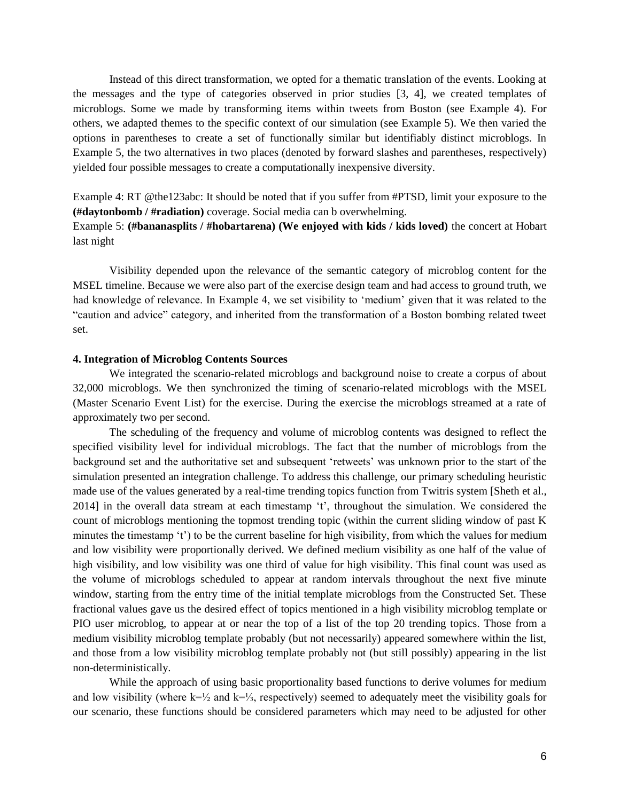Instead of this direct transformation, we opted for a thematic translation of the events. Looking at the messages and the type of categories observed in prior studies [3, 4], we created templates of microblogs. Some we made by transforming items within tweets from Boston (see Example 4). For others, we adapted themes to the specific context of our simulation (see Example 5). We then varied the options in parentheses to create a set of functionally similar but identifiably distinct microblogs. In Example 5, the two alternatives in two places (denoted by forward slashes and parentheses, respectively) yielded four possible messages to create a computationally inexpensive diversity.

Example 4: RT @the123abc: It should be noted that if you suffer from #PTSD, limit your exposure to the **(#daytonbomb / #radiation)** coverage. Social media can b overwhelming.

# Example 5: **(#bananasplits / #hobartarena) (We enjoyed with kids / kids loved)** the concert at Hobart last night

Visibility depended upon the relevance of the semantic category of microblog content for the MSEL timeline. Because we were also part of the exercise design team and had access to ground truth, we had knowledge of relevance. In Example 4, we set visibility to 'medium' given that it was related to the "caution and advice" category, and inherited from the transformation of a Boston bombing related tweet set.

#### **4. Integration of Microblog Contents Sources**

We integrated the scenario-related microblogs and background noise to create a corpus of about 32,000 microblogs. We then synchronized the timing of scenario-related microblogs with the MSEL (Master Scenario Event List) for the exercise. During the exercise the microblogs streamed at a rate of approximately two per second.

The scheduling of the frequency and volume of microblog contents was designed to reflect the specified visibility level for individual microblogs. The fact that the number of microblogs from the background set and the authoritative set and subsequent 'retweets' was unknown prior to the start of the simulation presented an integration challenge. To address this challenge, our primary scheduling heuristic made use of the values generated by a real-time trending topics function from Twitris system [Sheth et al., 2014] in the overall data stream at each timestamp 't', throughout the simulation. We considered the count of microblogs mentioning the topmost trending topic (within the current sliding window of past K minutes the timestamp 't') to be the current baseline for high visibility, from which the values for medium and low visibility were proportionally derived. We defined medium visibility as one half of the value of high visibility, and low visibility was one third of value for high visibility. This final count was used as the volume of microblogs scheduled to appear at random intervals throughout the next five minute window, starting from the entry time of the initial template microblogs from the Constructed Set. These fractional values gave us the desired effect of topics mentioned in a high visibility microblog template or PIO user microblog, to appear at or near the top of a list of the top 20 trending topics. Those from a medium visibility microblog template probably (but not necessarily) appeared somewhere within the list, and those from a low visibility microblog template probably not (but still possibly) appearing in the list non-deterministically.

While the approach of using basic proportionality based functions to derive volumes for medium and low visibility (where k=½ and k=⅓, respectively) seemed to adequately meet the visibility goals for our scenario, these functions should be considered parameters which may need to be adjusted for other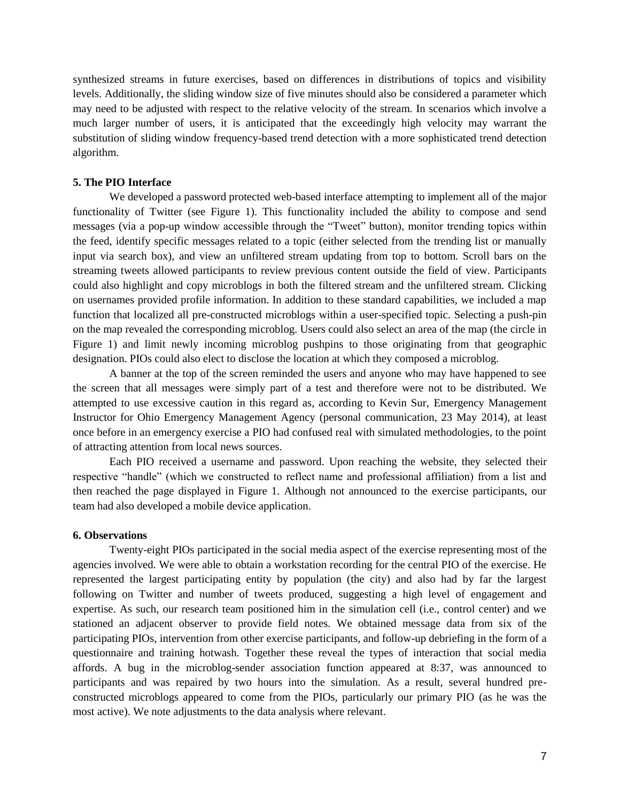synthesized streams in future exercises, based on differences in distributions of topics and visibility levels. Additionally, the sliding window size of five minutes should also be considered a parameter which may need to be adjusted with respect to the relative velocity of the stream. In scenarios which involve a much larger number of users, it is anticipated that the exceedingly high velocity may warrant the substitution of sliding window frequency-based trend detection with a more sophisticated trend detection algorithm.

#### **5. The PIO Interface**

We developed a password protected web-based interface attempting to implement all of the major functionality of Twitter (see Figure 1). This functionality included the ability to compose and send messages (via a pop-up window accessible through the "Tweet" button), monitor trending topics within the feed, identify specific messages related to a topic (either selected from the trending list or manually input via search box), and view an unfiltered stream updating from top to bottom. Scroll bars on the streaming tweets allowed participants to review previous content outside the field of view. Participants could also highlight and copy microblogs in both the filtered stream and the unfiltered stream. Clicking on usernames provided profile information. In addition to these standard capabilities, we included a map function that localized all pre-constructed microblogs within a user-specified topic. Selecting a push-pin on the map revealed the corresponding microblog. Users could also select an area of the map (the circle in Figure 1) and limit newly incoming microblog pushpins to those originating from that geographic designation. PIOs could also elect to disclose the location at which they composed a microblog.

A banner at the top of the screen reminded the users and anyone who may have happened to see the screen that all messages were simply part of a test and therefore were not to be distributed. We attempted to use excessive caution in this regard as, according to Kevin Sur, Emergency Management Instructor for Ohio Emergency Management Agency (personal communication, 23 May 2014), at least once before in an emergency exercise a PIO had confused real with simulated methodologies, to the point of attracting attention from local news sources.

Each PIO received a username and password. Upon reaching the website, they selected their respective "handle" (which we constructed to reflect name and professional affiliation) from a list and then reached the page displayed in Figure 1. Although not announced to the exercise participants, our team had also developed a mobile device application.

## **6. Observations**

Twenty-eight PIOs participated in the social media aspect of the exercise representing most of the agencies involved. We were able to obtain a workstation recording for the central PIO of the exercise. He represented the largest participating entity by population (the city) and also had by far the largest following on Twitter and number of tweets produced, suggesting a high level of engagement and expertise. As such, our research team positioned him in the simulation cell (i.e., control center) and we stationed an adjacent observer to provide field notes. We obtained message data from six of the participating PIOs, intervention from other exercise participants, and follow-up debriefing in the form of a questionnaire and training hotwash. Together these reveal the types of interaction that social media affords. A bug in the microblog-sender association function appeared at 8:37, was announced to participants and was repaired by two hours into the simulation. As a result, several hundred preconstructed microblogs appeared to come from the PIOs, particularly our primary PIO (as he was the most active). We note adjustments to the data analysis where relevant.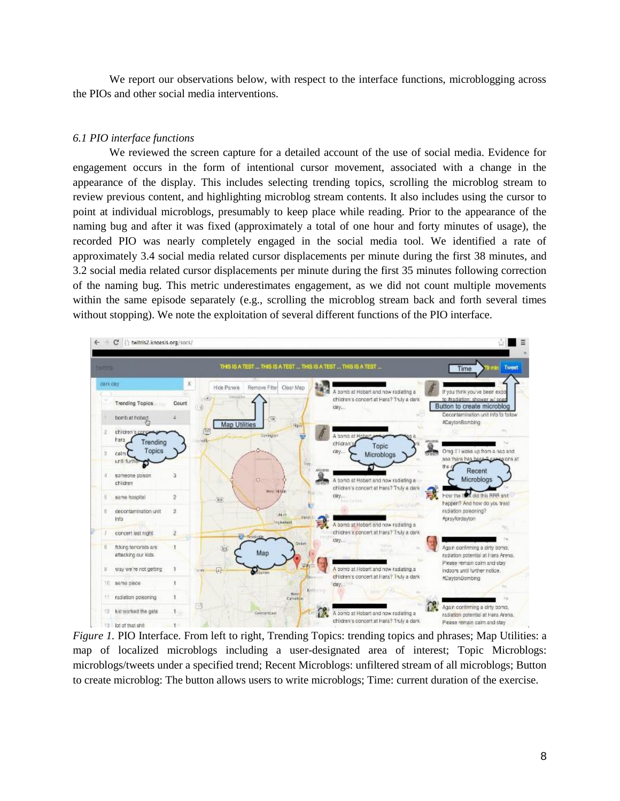We report our observations below, with respect to the interface functions, microblogging across the PIOs and other social media interventions.

# *6.1 PIO interface functions*

We reviewed the screen capture for a detailed account of the use of social media. Evidence for engagement occurs in the form of intentional cursor movement, associated with a change in the appearance of the display. This includes selecting trending topics, scrolling the microblog stream to review previous content, and highlighting microblog stream contents. It also includes using the cursor to point at individual microblogs, presumably to keep place while reading. Prior to the appearance of the naming bug and after it was fixed (approximately a total of one hour and forty minutes of usage), the recorded PIO was nearly completely engaged in the social media tool. We identified a rate of approximately 3.4 social media related cursor displacements per minute during the first 38 minutes, and 3.2 social media related cursor displacements per minute during the first 35 minutes following correction of the naming bug. This metric underestimates engagement, as we did not count multiple movements within the same episode separately (e.g., scrolling the microblog stream back and forth several times without stopping). We note the exploitation of several different functions of the PIO interface.



*Figure 1.* PIO Interface. From left to right, Trending Topics: trending topics and phrases; Map Utilities: a map of localized microblogs including a user-designated area of interest; Topic Microblogs: microblogs/tweets under a specified trend; Recent Microblogs: unfiltered stream of all microblogs; Button to create microblog: The button allows users to write microblogs; Time: current duration of the exercise.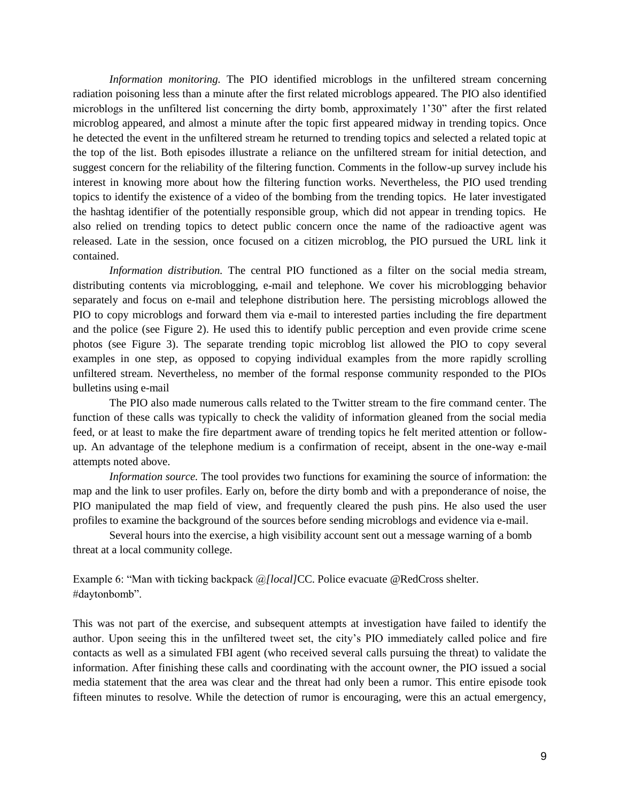*Information monitoring.* The PIO identified microblogs in the unfiltered stream concerning radiation poisoning less than a minute after the first related microblogs appeared. The PIO also identified microblogs in the unfiltered list concerning the dirty bomb, approximately 1'30" after the first related microblog appeared, and almost a minute after the topic first appeared midway in trending topics. Once he detected the event in the unfiltered stream he returned to trending topics and selected a related topic at the top of the list. Both episodes illustrate a reliance on the unfiltered stream for initial detection, and suggest concern for the reliability of the filtering function. Comments in the follow-up survey include his interest in knowing more about how the filtering function works. Nevertheless, the PIO used trending topics to identify the existence of a video of the bombing from the trending topics. He later investigated the hashtag identifier of the potentially responsible group, which did not appear in trending topics. He also relied on trending topics to detect public concern once the name of the radioactive agent was released. Late in the session, once focused on a citizen microblog, the PIO pursued the URL link it contained.

*Information distribution.* The central PIO functioned as a filter on the social media stream, distributing contents via microblogging, e-mail and telephone. We cover his microblogging behavior separately and focus on e-mail and telephone distribution here. The persisting microblogs allowed the PIO to copy microblogs and forward them via e-mail to interested parties including the fire department and the police (see Figure 2). He used this to identify public perception and even provide crime scene photos (see Figure 3). The separate trending topic microblog list allowed the PIO to copy several examples in one step, as opposed to copying individual examples from the more rapidly scrolling unfiltered stream. Nevertheless, no member of the formal response community responded to the PIOs bulletins using e-mail

The PIO also made numerous calls related to the Twitter stream to the fire command center. The function of these calls was typically to check the validity of information gleaned from the social media feed, or at least to make the fire department aware of trending topics he felt merited attention or followup. An advantage of the telephone medium is a confirmation of receipt, absent in the one-way e-mail attempts noted above.

*Information source.* The tool provides two functions for examining the source of information: the map and the link to user profiles. Early on, before the dirty bomb and with a preponderance of noise, the PIO manipulated the map field of view, and frequently cleared the push pins. He also used the user profiles to examine the background of the sources before sending microblogs and evidence via e-mail.

Several hours into the exercise, a high visibility account sent out a message warning of a bomb threat at a local community college.

Example 6: "Man with ticking backpack @*[local]*CC. Police evacuate @RedCross shelter. #daytonbomb".

This was not part of the exercise, and subsequent attempts at investigation have failed to identify the author. Upon seeing this in the unfiltered tweet set, the city's PIO immediately called police and fire contacts as well as a simulated FBI agent (who received several calls pursuing the threat) to validate the information. After finishing these calls and coordinating with the account owner, the PIO issued a social media statement that the area was clear and the threat had only been a rumor. This entire episode took fifteen minutes to resolve. While the detection of rumor is encouraging, were this an actual emergency,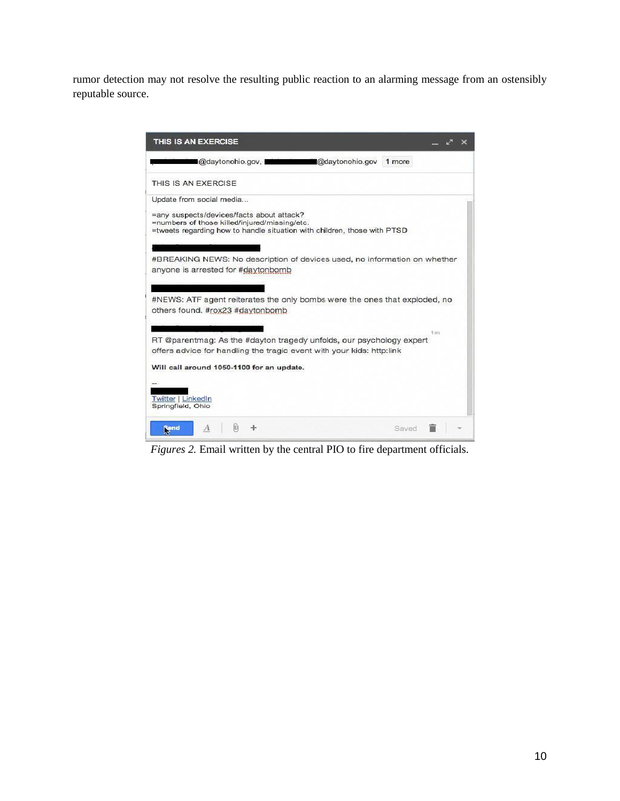rumor detection may not resolve the resulting public reaction to an alarming message from an ostensibly reputable source.



*Figures 2.* Email written by the central PIO to fire department officials.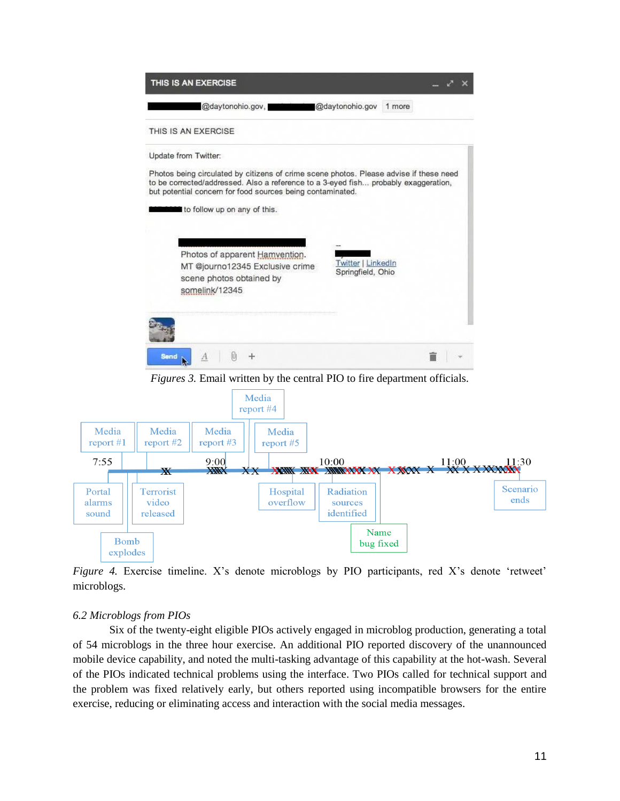

*Figures 3.* Email written by the central PIO to fire department officials.



*Figure 4.* Exercise timeline. X's denote microblogs by PIO participants, red X's denote 'retweet' microblogs.

# *6.2 Microblogs from PIOs*

Six of the twenty-eight eligible PIOs actively engaged in microblog production, generating a total of 54 microblogs in the three hour exercise. An additional PIO reported discovery of the unannounced mobile device capability, and noted the multi-tasking advantage of this capability at the hot-wash. Several of the PIOs indicated technical problems using the interface. Two PIOs called for technical support and the problem was fixed relatively early, but others reported using incompatible browsers for the entire exercise, reducing or eliminating access and interaction with the social media messages.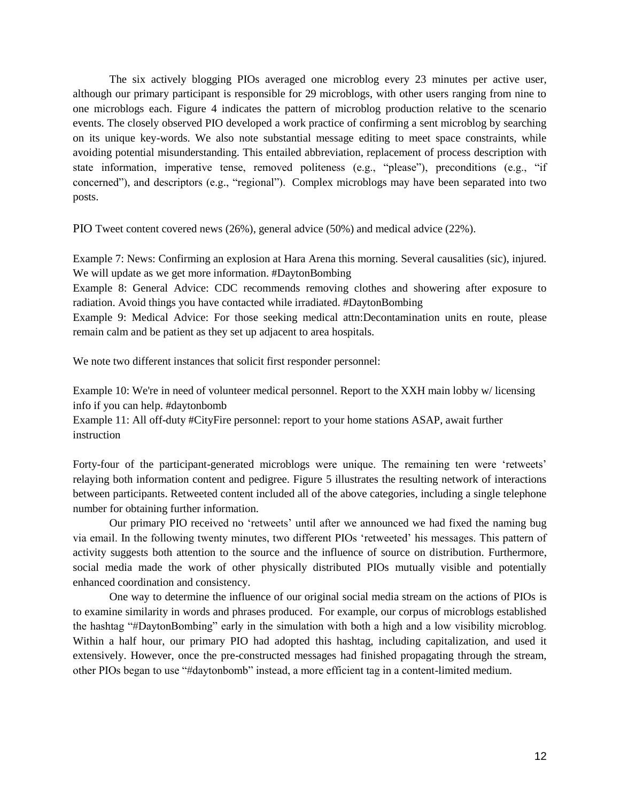The six actively blogging PIOs averaged one microblog every 23 minutes per active user, although our primary participant is responsible for 29 microblogs, with other users ranging from nine to one microblogs each. Figure 4 indicates the pattern of microblog production relative to the scenario events. The closely observed PIO developed a work practice of confirming a sent microblog by searching on its unique key-words. We also note substantial message editing to meet space constraints, while avoiding potential misunderstanding. This entailed abbreviation, replacement of process description with state information, imperative tense, removed politeness (e.g., "please"), preconditions (e.g., "if concerned"), and descriptors (e.g., "regional"). Complex microblogs may have been separated into two posts.

PIO Tweet content covered news (26%), general advice (50%) and medical advice (22%).

Example 7: News: Confirming an explosion at Hara Arena this morning. Several causalities (sic), injured. We will update as we get more information. #DaytonBombing

Example 8: General Advice: CDC recommends removing clothes and showering after exposure to radiation. Avoid things you have contacted while irradiated. #DaytonBombing

Example 9: Medical Advice: For those seeking medical attn:Decontamination units en route, please remain calm and be patient as they set up adjacent to area hospitals.

We note two different instances that solicit first responder personnel:

Example 10: We're in need of volunteer medical personnel. Report to the XXH main lobby w/ licensing info if you can help. #daytonbomb

Example 11: All off-duty #CityFire personnel: report to your home stations ASAP, await further instruction

Forty-four of the participant-generated microblogs were unique. The remaining ten were 'retweets' relaying both information content and pedigree. Figure 5 illustrates the resulting network of interactions between participants. Retweeted content included all of the above categories, including a single telephone number for obtaining further information.

Our primary PIO received no 'retweets' until after we announced we had fixed the naming bug via email. In the following twenty minutes, two different PIOs 'retweeted' his messages. This pattern of activity suggests both attention to the source and the influence of source on distribution. Furthermore, social media made the work of other physically distributed PIOs mutually visible and potentially enhanced coordination and consistency.

One way to determine the influence of our original social media stream on the actions of PIOs is to examine similarity in words and phrases produced. For example, our corpus of microblogs established the hashtag "#DaytonBombing" early in the simulation with both a high and a low visibility microblog. Within a half hour, our primary PIO had adopted this hashtag, including capitalization, and used it extensively. However, once the pre-constructed messages had finished propagating through the stream, other PIOs began to use "#daytonbomb" instead, a more efficient tag in a content-limited medium.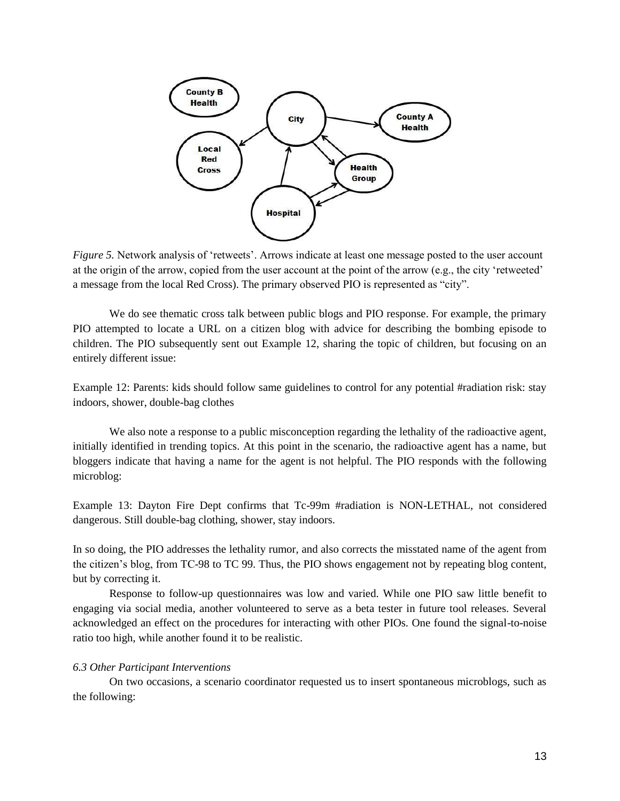

*Figure 5.* Network analysis of 'retweets'. Arrows indicate at least one message posted to the user account at the origin of the arrow, copied from the user account at the point of the arrow (e.g., the city 'retweeted' a message from the local Red Cross). The primary observed PIO is represented as "city".

We do see thematic cross talk between public blogs and PIO response. For example, the primary PIO attempted to locate a URL on a citizen blog with advice for describing the bombing episode to children. The PIO subsequently sent out Example 12, sharing the topic of children, but focusing on an entirely different issue:

Example 12: Parents: kids should follow same guidelines to control for any potential #radiation risk: stay indoors, shower, double-bag clothes

We also note a response to a public misconception regarding the lethality of the radioactive agent, initially identified in trending topics. At this point in the scenario, the radioactive agent has a name, but bloggers indicate that having a name for the agent is not helpful. The PIO responds with the following microblog:

Example 13: Dayton Fire Dept confirms that Tc-99m #radiation is NON-LETHAL, not considered dangerous. Still double-bag clothing, shower, stay indoors.

In so doing, the PIO addresses the lethality rumor, and also corrects the misstated name of the agent from the citizen's blog, from TC-98 to TC 99. Thus, the PIO shows engagement not by repeating blog content, but by correcting it.

Response to follow-up questionnaires was low and varied. While one PIO saw little benefit to engaging via social media, another volunteered to serve as a beta tester in future tool releases. Several acknowledged an effect on the procedures for interacting with other PIOs. One found the signal-to-noise ratio too high, while another found it to be realistic.

## *6.3 Other Participant Interventions*

On two occasions, a scenario coordinator requested us to insert spontaneous microblogs, such as the following: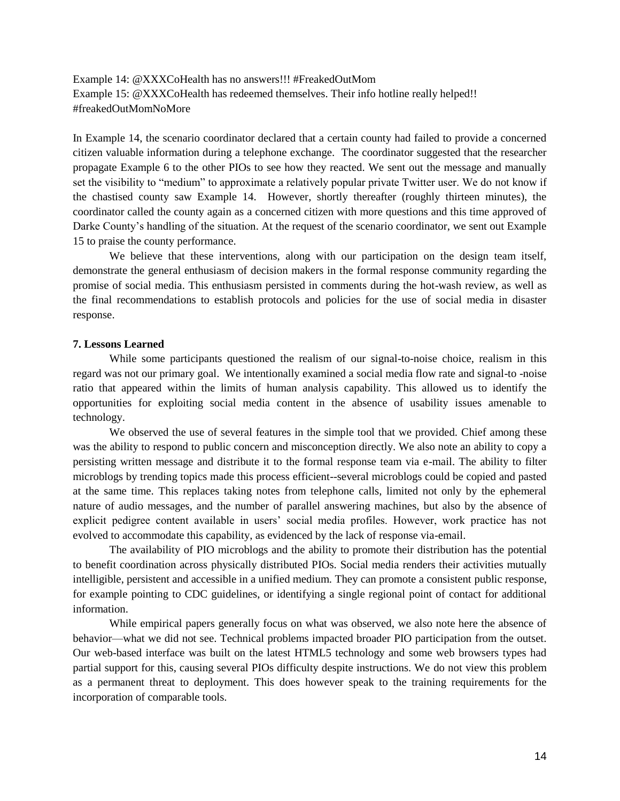Example 14: @XXXCoHealth has no answers!!! #FreakedOutMom Example 15: @XXXCoHealth has redeemed themselves. Their info hotline really helped!! #freakedOutMomNoMore

In Example 14, the scenario coordinator declared that a certain county had failed to provide a concerned citizen valuable information during a telephone exchange. The coordinator suggested that the researcher propagate Example 6 to the other PIOs to see how they reacted. We sent out the message and manually set the visibility to "medium" to approximate a relatively popular private Twitter user. We do not know if the chastised county saw Example 14. However, shortly thereafter (roughly thirteen minutes), the coordinator called the county again as a concerned citizen with more questions and this time approved of Darke County's handling of the situation. At the request of the scenario coordinator, we sent out Example 15 to praise the county performance.

We believe that these interventions, along with our participation on the design team itself, demonstrate the general enthusiasm of decision makers in the formal response community regarding the promise of social media. This enthusiasm persisted in comments during the hot-wash review, as well as the final recommendations to establish protocols and policies for the use of social media in disaster response.

# **7. Lessons Learned**

While some participants questioned the realism of our signal-to-noise choice, realism in this regard was not our primary goal. We intentionally examined a social media flow rate and signal-to -noise ratio that appeared within the limits of human analysis capability. This allowed us to identify the opportunities for exploiting social media content in the absence of usability issues amenable to technology.

We observed the use of several features in the simple tool that we provided. Chief among these was the ability to respond to public concern and misconception directly. We also note an ability to copy a persisting written message and distribute it to the formal response team via e-mail. The ability to filter microblogs by trending topics made this process efficient--several microblogs could be copied and pasted at the same time. This replaces taking notes from telephone calls, limited not only by the ephemeral nature of audio messages, and the number of parallel answering machines, but also by the absence of explicit pedigree content available in users' social media profiles. However, work practice has not evolved to accommodate this capability, as evidenced by the lack of response via-email.

The availability of PIO microblogs and the ability to promote their distribution has the potential to benefit coordination across physically distributed PIOs. Social media renders their activities mutually intelligible, persistent and accessible in a unified medium. They can promote a consistent public response, for example pointing to CDC guidelines, or identifying a single regional point of contact for additional information.

While empirical papers generally focus on what was observed, we also note here the absence of behavior—what we did not see. Technical problems impacted broader PIO participation from the outset. Our web-based interface was built on the latest HTML5 technology and some web browsers types had partial support for this, causing several PIOs difficulty despite instructions. We do not view this problem as a permanent threat to deployment. This does however speak to the training requirements for the incorporation of comparable tools.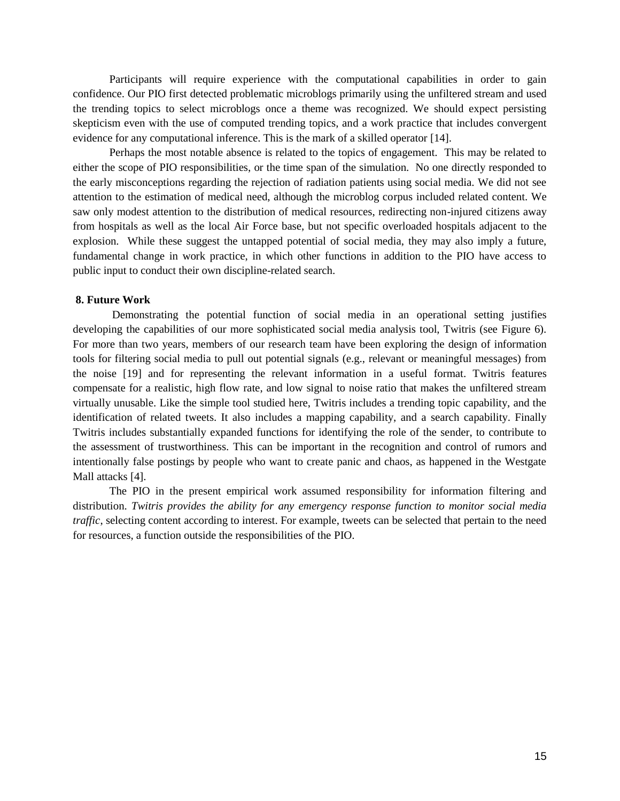Participants will require experience with the computational capabilities in order to gain confidence. Our PIO first detected problematic microblogs primarily using the unfiltered stream and used the trending topics to select microblogs once a theme was recognized. We should expect persisting skepticism even with the use of computed trending topics, and a work practice that includes convergent evidence for any computational inference. This is the mark of a skilled operator [14].

Perhaps the most notable absence is related to the topics of engagement. This may be related to either the scope of PIO responsibilities, or the time span of the simulation. No one directly responded to the early misconceptions regarding the rejection of radiation patients using social media. We did not see attention to the estimation of medical need, although the microblog corpus included related content. We saw only modest attention to the distribution of medical resources, redirecting non-injured citizens away from hospitals as well as the local Air Force base, but not specific overloaded hospitals adjacent to the explosion. While these suggest the untapped potential of social media, they may also imply a future, fundamental change in work practice, in which other functions in addition to the PIO have access to public input to conduct their own discipline-related search.

## **8. Future Work**

Demonstrating the potential function of social media in an operational setting justifies developing the capabilities of our more sophisticated social media analysis tool, Twitris (see Figure 6). For more than two years, members of our research team have been exploring the design of information tools for filtering social media to pull out potential signals (e.g., relevant or meaningful messages) from the noise [19] and for representing the relevant information in a useful format. Twitris features compensate for a realistic, high flow rate, and low signal to noise ratio that makes the unfiltered stream virtually unusable. Like the simple tool studied here, Twitris includes a trending topic capability, and the identification of related tweets. It also includes a mapping capability, and a search capability. Finally Twitris includes substantially expanded functions for identifying the role of the sender, to contribute to the assessment of trustworthiness. This can be important in the recognition and control of rumors and intentionally false postings by people who want to create panic and chaos, as happened in the Westgate Mall attacks [4].

The PIO in the present empirical work assumed responsibility for information filtering and distribution. *Twitris provides the ability for any emergency response function to monitor social media traffic*, selecting content according to interest. For example, tweets can be selected that pertain to the need for resources, a function outside the responsibilities of the PIO.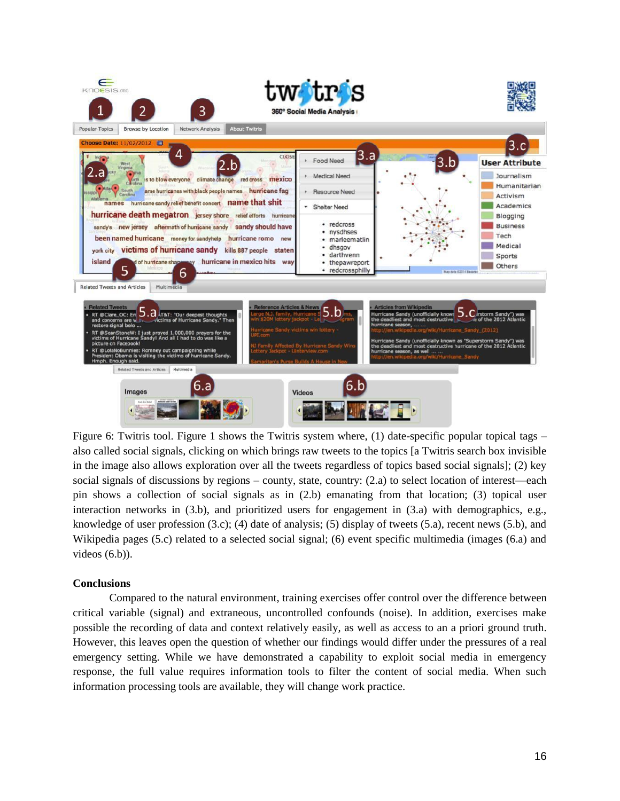

Figure 6: Twitris tool. Figure 1 shows the Twitris system where, (1) date-specific popular topical tags – also called social signals, clicking on which brings raw tweets to the topics [a Twitris search box invisible in the image also allows exploration over all the tweets regardless of topics based social signals]; (2) key social signals of discussions by regions – county, state, country: (2.a) to select location of interest—each pin shows a collection of social signals as in (2.b) emanating from that location; (3) topical user interaction networks in (3.b), and prioritized users for engagement in (3.a) with demographics, e.g., knowledge of user profession  $(3,c)$ ;  $(4)$  date of analysis;  $(5)$  display of tweets  $(5.a)$ , recent news  $(5.b)$ , and Wikipedia pages (5.c) related to a selected social signal; (6) event specific multimedia (images (6.a) and videos (6.b)).

# **Conclusions**

Compared to the natural environment, training exercises offer control over the difference between critical variable (signal) and extraneous, uncontrolled confounds (noise). In addition, exercises make possible the recording of data and context relatively easily, as well as access to an a priori ground truth. However, this leaves open the question of whether our findings would differ under the pressures of a real emergency setting. While we have demonstrated a capability to exploit social media in emergency response, the full value requires information tools to filter the content of social media. When such information processing tools are available, they will change work practice.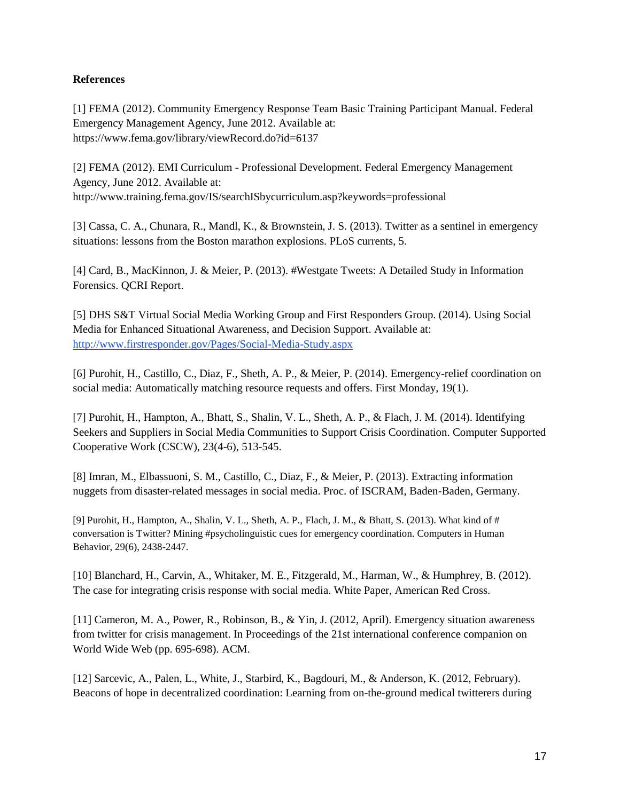# **References**

[1] FEMA (2012). Community Emergency Response Team Basic Training Participant Manual. Federal Emergency Management Agency, June 2012. Available at: https://www.fema.gov/library/viewRecord.do?id=6137

[2] FEMA (2012). EMI Curriculum - Professional Development. Federal Emergency Management Agency, June 2012. Available at: http://www.training.fema.gov/IS/searchISbycurriculum.asp?keywords=professional

[3] Cassa, C. A., Chunara, R., Mandl, K., & Brownstein, J. S. (2013). Twitter as a sentinel in emergency situations: lessons from the Boston marathon explosions. PLoS currents, 5.

[4] Card, B., MacKinnon, J. & Meier, P. (2013). #Westgate Tweets: A Detailed Study in Information Forensics. QCRI Report.

[5] DHS S&T Virtual Social Media Working Group and First Responders Group. (2014). Using Social Media for Enhanced Situational Awareness, and Decision Support. Available at: <http://www.firstresponder.gov/Pages/Social-Media-Study.aspx>

[6] Purohit, H., Castillo, C., Diaz, F., Sheth, A. P., & Meier, P. (2014). Emergency-relief coordination on social media: Automatically matching resource requests and offers. First Monday, 19(1).

[7] Purohit, H., Hampton, A., Bhatt, S., Shalin, V. L., Sheth, A. P., & Flach, J. M. (2014). Identifying Seekers and Suppliers in Social Media Communities to Support Crisis Coordination. Computer Supported Cooperative Work (CSCW), 23(4-6), 513-545.

[8] Imran, M., Elbassuoni, S. M., Castillo, C., Diaz, F., & Meier, P. (2013). Extracting information nuggets from disaster-related messages in social media. Proc. of ISCRAM, Baden-Baden, Germany.

[9] Purohit, H., Hampton, A., Shalin, V. L., Sheth, A. P., Flach, J. M., & Bhatt, S. (2013). What kind of # conversation is Twitter? Mining #psycholinguistic cues for emergency coordination. Computers in Human Behavior, 29(6), 2438-2447.

[10] Blanchard, H., Carvin, A., Whitaker, M. E., Fitzgerald, M., Harman, W., & Humphrey, B. (2012). The case for integrating crisis response with social media. White Paper, American Red Cross.

[11] Cameron, M. A., Power, R., Robinson, B., & Yin, J. (2012, April). Emergency situation awareness from twitter for crisis management. In Proceedings of the 21st international conference companion on World Wide Web (pp. 695-698). ACM.

[12] Sarcevic, A., Palen, L., White, J., Starbird, K., Bagdouri, M., & Anderson, K. (2012, February). Beacons of hope in decentralized coordination: Learning from on-the-ground medical twitterers during